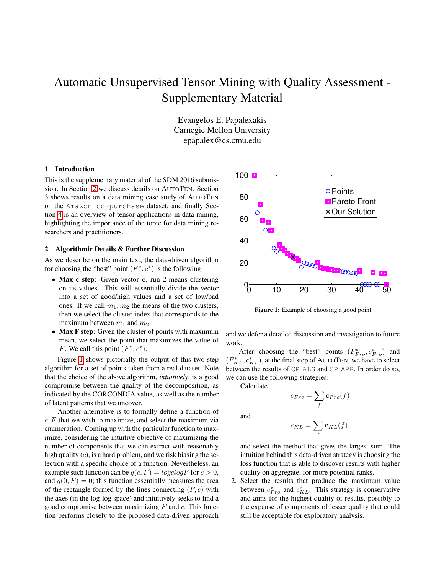# Automatic Unsupervised Tensor Mining with Quality Assessment - Supplementary Material

Evangelos E. Papalexakis Carnegie Mellon University epapalex@cs.cmu.edu

### 1 Introduction

This is the supplementary material of the SDM 2016 submission. In Section [2](#page-0-0) we discuss details on AUTOTEN. Section [3](#page-1-0) shows results on a data mining case study of AUTOTEN on the Amazon co-purchase dataset, and finally Section [4](#page-1-1) is an overview of tensor applications in data mining, highlighting the importance of the topic for data mining researchers and practitioners.

## <span id="page-0-0"></span>2 Algorithmic Details & Further Discussion

As we describe on the main text, the data-driven algorithm for choosing the "best" point  $(F^*, c^*)$  is the following:

- Max c step: Given vector c, run 2-means clustering on its values. This will essentially divide the vector into a set of good/high values and a set of low/bad ones. If we call  $m_1, m_2$  the means of the two clusters, then we select the cluster index that corresponds to the maximum between  $m_1$  and  $m_2$ .
- Max F step: Given the cluster of points with maximum mean, we select the point that maximizes the value of F. We call this point  $(F^*, c^*)$ .

Figure [1](#page-0-1) shows pictorially the output of this two-step algorithm for a set of points taken from a real dataset. Note that the choice of the above algorithm, *intuitively*, is a good compromise between the quality of the decomposition, as indicated by the CORCONDIA value, as well as the number of latent patterns that we uncover.

Another alternative is to formally define a function of  $c, F$  that we wish to maximize, and select the maximum via enumeration. Coming up with the particular function to maximize, considering the intuitive objective of maximizing the number of components that we can extract with reasonably high quality  $(c)$ , is a hard problem, and we risk biasing the selection with a specific choice of a function. Nevertheless, an example such function can be  $q(c, F) = logclogF$  for  $c > 0$ , and  $g(0, F) = 0$ ; this function essentially measures the area of the rectangle formed by the lines connecting  $(F, c)$  with the axes (in the log-log space) and intuitively seeks to find a good compromise between maximizing  $F$  and  $c$ . This function performs closely to the proposed data-driven approach

<span id="page-0-1"></span>

Figure 1: Example of choosing a good point

and we defer a detailed discussion and investigation to future work.

After choosing the "best" points  $(F_{Fro}^*, c_{Fro}^*)$  and  $(F_{KL}^*, c_{KL}^*)$ , at the final step of AUTOTEN, we have to select between the results of CP ALS and CP APR. In order do so, we can use the following strategies:

1. Calculate

$$
s_{Fro} = \sum_{f} \mathbf{c}_{Fro}(f)
$$

and

$$
s_{KL} = \sum_{f} \mathbf{c}_{KL}(f),
$$

and select the method that gives the largest sum. The intuition behind this data-driven strategy is choosing the loss function that is able to discover results with higher quality on aggregate, for more potential ranks.

2. Select the results that produce the maximum value between  $c_{Fro}^{*}$  and  $c_{KL}^{*}$ . This strategy is conservative and aims for the highest quality of results, possibly to the expense of components of lesser quality that could still be acceptable for exploratory analysis.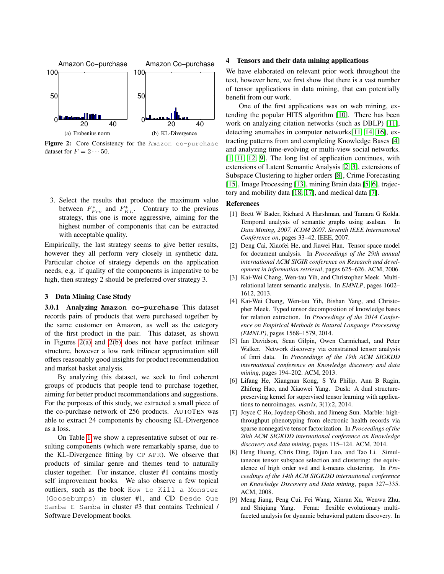<span id="page-1-2"></span>

<span id="page-1-3"></span>Figure 2: Core Consistency for the Amazon co-purchase dataset for  $F = 2 \cdots 50$ .

3. Select the results that produce the maximum value between  $F_{Fro}^*$  and  $F_{KL}^*$ . Contrary to the previous strategy, this one is more aggressive, aiming for the highest number of components that can be extracted with acceptable quality.

Empirically, the last strategy seems to give better results, however they all perform very closely in synthetic data. Particular choice of strategy depends on the application needs, e.g. if quality of the components is imperative to be high, then strategy 2 should be preferred over strategy 3.

### <span id="page-1-0"></span>3 Data Mining Case Study

3.0.1 Analyzing **Amazon co-purchase** This dataset records pairs of products that were purchased together by the same customer on Amazon, as well as the category of the first product in the pair. This dataset, as shown in Figures [2\(a\)](#page-1-2) and [2\(b\)](#page-1-3) does not have perfect trilinear structure, however a low rank trilinear approximation still offers reasonably good insights for product recommendation and market basket analysis.

By analyzing this dataset, we seek to find coherent groups of products that people tend to purchase together, aiming for better product recommendations and suggestions. For the purposes of this study, we extracted a small piece of the co-purchase network of 256 products. AUTOTEN was able to extract 24 components by choosing KL-Divergence as a loss.

On Table [1](#page-2-0) we show a representative subset of our resulting components (which were remarkably sparse, due to the KL-Divergence fitting by CP APR). We observe that products of similar genre and themes tend to naturally cluster together. For instance, cluster #1 contains mostly self improvement books. We also observe a few topical outliers, such as the book How to Kill a Monster (Goosebumps) in cluster #1, and CD Desde Que Samba E Samba in cluster #3 that contains Technical / Software Development books.

#### <span id="page-1-1"></span>4 Tensors and their data mining applications

We have elaborated on relevant prior work throughout the text, however here, we first show that there is a vast number of tensor applications in data mining, that can potentially benefit from our work.

One of the first applications was on web mining, extending the popular HITS algorithm [\[10\]](#page-2-1). There has been work on analyzing citation networks (such as DBLP) [\[11\]](#page-2-2), detecting anomalies in computer networks[\[11,](#page-2-2) [14,](#page-2-3) [16\]](#page-2-4), extracting patterns from and completing Knowledge Bases [\[4\]](#page-1-4) and analyzing time-evolving or multi-view social networks. [\[1,](#page-1-5) [11,](#page-2-2) [12,](#page-2-5) [9\]](#page-1-6), The long list of application continues, with extensions of Latent Semantic Analysis [\[2,](#page-1-7) [3\]](#page-1-8), extensions of Subspace Clustering to higher orders [\[8\]](#page-1-9), Crime Forecasting [\[15\]](#page-2-6), Image Processing [\[13\]](#page-2-7), mining Brain data [\[5,](#page-1-10) [6\]](#page-1-11), trajectory and mobility data [\[18,](#page-2-8) [17\]](#page-2-9), and medical data [\[7\]](#page-1-12).

## References

- <span id="page-1-5"></span>[1] Brett W Bader, Richard A Harshman, and Tamara G Kolda. Temporal analysis of semantic graphs using asalsan. In *Data Mining, 2007. ICDM 2007. Seventh IEEE International Conference on*, pages 33–42. IEEE, 2007.
- <span id="page-1-7"></span>[2] Deng Cai, Xiaofei He, and Jiawei Han. Tensor space model for document analysis. In *Proceedings of the 29th annual international ACM SIGIR conference on Research and development in information retrieval*, pages 625–626. ACM, 2006.
- <span id="page-1-8"></span>[3] Kai-Wei Chang, Wen-tau Yih, and Christopher Meek. Multirelational latent semantic analysis. In *EMNLP*, pages 1602– 1612, 2013.
- <span id="page-1-4"></span>[4] Kai-Wei Chang, Wen-tau Yih, Bishan Yang, and Christopher Meek. Typed tensor decomposition of knowledge bases for relation extraction. In *Proceedings of the 2014 Conference on Empirical Methods in Natural Language Processing (EMNLP)*, pages 1568–1579, 2014.
- <span id="page-1-10"></span>[5] Ian Davidson, Sean Gilpin, Owen Carmichael, and Peter Walker. Network discovery via constrained tensor analysis of fmri data. In *Proceedings of the 19th ACM SIGKDD international conference on Knowledge discovery and data mining*, pages 194–202. ACM, 2013.
- <span id="page-1-11"></span>[6] Lifang He, Xiangnan Kong, S Yu Philip, Ann B Ragin, Zhifeng Hao, and Xiaowei Yang. Dusk: A dual structurepreserving kernel for supervised tensor learning with applications to neuroimages. *matrix*, 3(1):2, 2014.
- <span id="page-1-12"></span>[7] Joyce C Ho, Joydeep Ghosh, and Jimeng Sun. Marble: highthroughput phenotyping from electronic health records via sparse nonnegative tensor factorization. In *Proceedings of the 20th ACM SIGKDD international conference on Knowledge discovery and data mining*, pages 115–124. ACM, 2014.
- <span id="page-1-9"></span>[8] Heng Huang, Chris Ding, Dijun Luo, and Tao Li. Simultaneous tensor subspace selection and clustering: the equivalence of high order svd and k-means clustering. In *Proceedings of the 14th ACM SIGKDD international conference on Knowledge Discovery and Data mining*, pages 327–335. ACM, 2008.
- <span id="page-1-6"></span>[9] Meng Jiang, Peng Cui, Fei Wang, Xinran Xu, Wenwu Zhu, and Shiqiang Yang. Fema: flexible evolutionary multifaceted analysis for dynamic behavioral pattern discovery. In